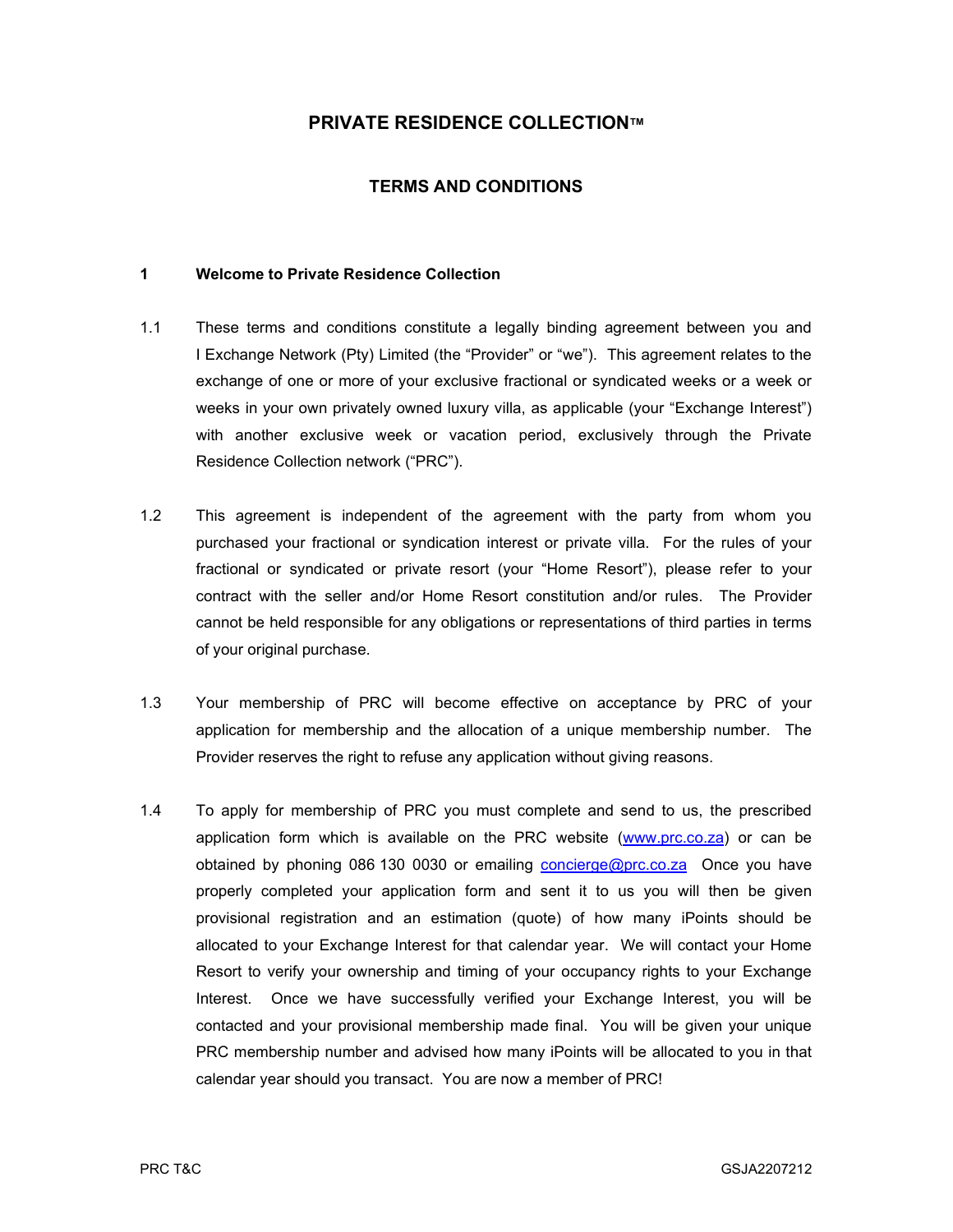# PRIVATE RESIDENCE COLLECTION™

## TERMS AND CONDITIONS

#### 1 Welcome to Private Residence Collection

- 1.1 These terms and conditions constitute a legally binding agreement between you and I Exchange Network (Pty) Limited (the "Provider" or "we"). This agreement relates to the exchange of one or more of your exclusive fractional or syndicated weeks or a week or weeks in your own privately owned luxury villa, as applicable (your "Exchange Interest") with another exclusive week or vacation period, exclusively through the Private Residence Collection network ("PRC").
- 1.2 This agreement is independent of the agreement with the party from whom you purchased your fractional or syndication interest or private villa. For the rules of your fractional or syndicated or private resort (your "Home Resort"), please refer to your contract with the seller and/or Home Resort constitution and/or rules. The Provider cannot be held responsible for any obligations or representations of third parties in terms of your original purchase.
- 1.3 Your membership of PRC will become effective on acceptance by PRC of your application for membership and the allocation of a unique membership number. The Provider reserves the right to refuse any application without giving reasons.
- 1.4 To apply for membership of PRC you must complete and send to us, the prescribed application form which is available on the PRC website (www.prc.co.za) or can be obtained by phoning 086 130 0030 or emailing **concierge@prc.co.za** Once you have properly completed your application form and sent it to us you will then be given provisional registration and an estimation (quote) of how many iPoints should be allocated to your Exchange Interest for that calendar year. We will contact your Home Resort to verify your ownership and timing of your occupancy rights to your Exchange Interest. Once we have successfully verified your Exchange Interest, you will be contacted and your provisional membership made final. You will be given your unique PRC membership number and advised how many iPoints will be allocated to you in that calendar year should you transact. You are now a member of PRC!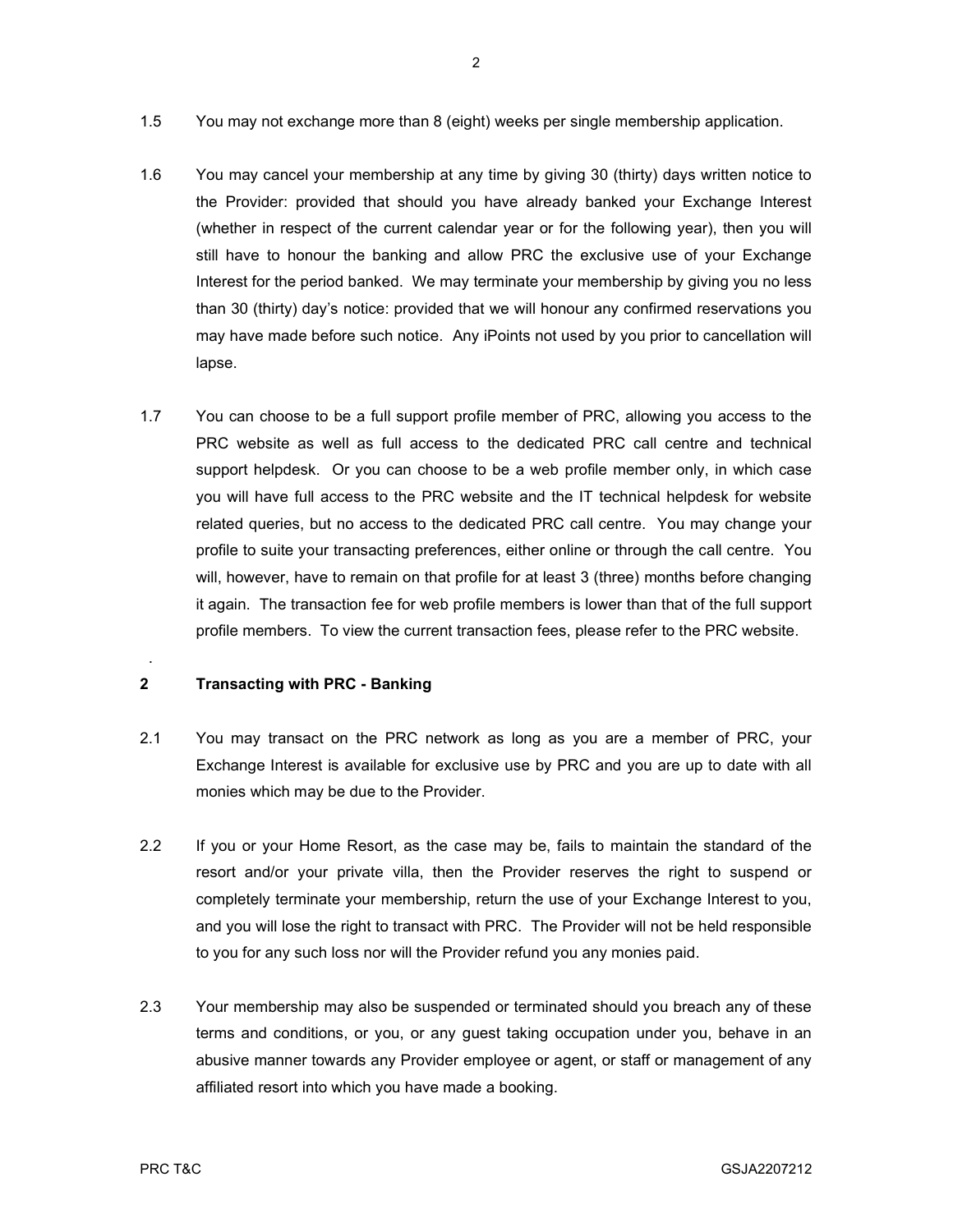- 1.5 You may not exchange more than 8 (eight) weeks per single membership application.
- 1.6 You may cancel your membership at any time by giving 30 (thirty) days written notice to the Provider: provided that should you have already banked your Exchange Interest (whether in respect of the current calendar year or for the following year), then you will still have to honour the banking and allow PRC the exclusive use of your Exchange Interest for the period banked. We may terminate your membership by giving you no less than 30 (thirty) day's notice: provided that we will honour any confirmed reservations you may have made before such notice. Any iPoints not used by you prior to cancellation will lapse.
- 1.7 You can choose to be a full support profile member of PRC, allowing you access to the PRC website as well as full access to the dedicated PRC call centre and technical support helpdesk. Or you can choose to be a web profile member only, in which case you will have full access to the PRC website and the IT technical helpdesk for website related queries, but no access to the dedicated PRC call centre. You may change your profile to suite your transacting preferences, either online or through the call centre. You will, however, have to remain on that profile for at least 3 (three) months before changing it again. The transaction fee for web profile members is lower than that of the full support profile members. To view the current transaction fees, please refer to the PRC website.

### 2 Transacting with PRC - Banking

- 2.1 You may transact on the PRC network as long as you are a member of PRC, your Exchange Interest is available for exclusive use by PRC and you are up to date with all monies which may be due to the Provider.
- 2.2 If you or your Home Resort, as the case may be, fails to maintain the standard of the resort and/or your private villa, then the Provider reserves the right to suspend or completely terminate your membership, return the use of your Exchange Interest to you, and you will lose the right to transact with PRC. The Provider will not be held responsible to you for any such loss nor will the Provider refund you any monies paid.
- 2.3 Your membership may also be suspended or terminated should you breach any of these terms and conditions, or you, or any guest taking occupation under you, behave in an abusive manner towards any Provider employee or agent, or staff or management of any affiliated resort into which you have made a booking.

.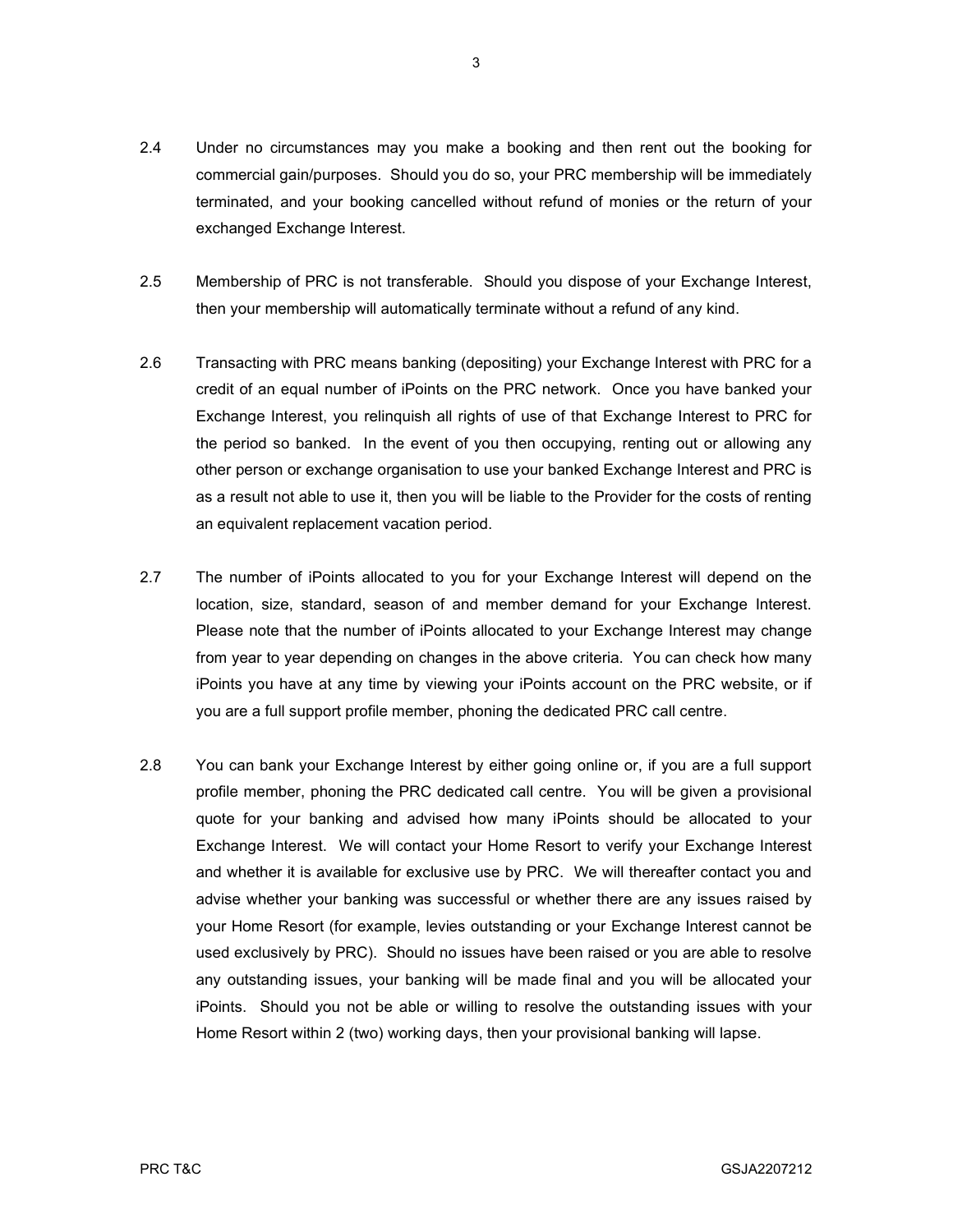- 2.4 Under no circumstances may you make a booking and then rent out the booking for commercial gain/purposes. Should you do so, your PRC membership will be immediately terminated, and your booking cancelled without refund of monies or the return of your exchanged Exchange Interest.
- 2.5 Membership of PRC is not transferable. Should you dispose of your Exchange Interest, then your membership will automatically terminate without a refund of any kind.
- 2.6 Transacting with PRC means banking (depositing) your Exchange Interest with PRC for a credit of an equal number of iPoints on the PRC network. Once you have banked your Exchange Interest, you relinquish all rights of use of that Exchange Interest to PRC for the period so banked. In the event of you then occupying, renting out or allowing any other person or exchange organisation to use your banked Exchange Interest and PRC is as a result not able to use it, then you will be liable to the Provider for the costs of renting an equivalent replacement vacation period.
- 2.7 The number of iPoints allocated to you for your Exchange Interest will depend on the location, size, standard, season of and member demand for your Exchange Interest. Please note that the number of iPoints allocated to your Exchange Interest may change from year to year depending on changes in the above criteria. You can check how many iPoints you have at any time by viewing your iPoints account on the PRC website, or if you are a full support profile member, phoning the dedicated PRC call centre.
- 2.8 You can bank your Exchange Interest by either going online or, if you are a full support profile member, phoning the PRC dedicated call centre. You will be given a provisional quote for your banking and advised how many iPoints should be allocated to your Exchange Interest. We will contact your Home Resort to verify your Exchange Interest and whether it is available for exclusive use by PRC. We will thereafter contact you and advise whether your banking was successful or whether there are any issues raised by your Home Resort (for example, levies outstanding or your Exchange Interest cannot be used exclusively by PRC). Should no issues have been raised or you are able to resolve any outstanding issues, your banking will be made final and you will be allocated your iPoints. Should you not be able or willing to resolve the outstanding issues with your Home Resort within 2 (two) working days, then your provisional banking will lapse.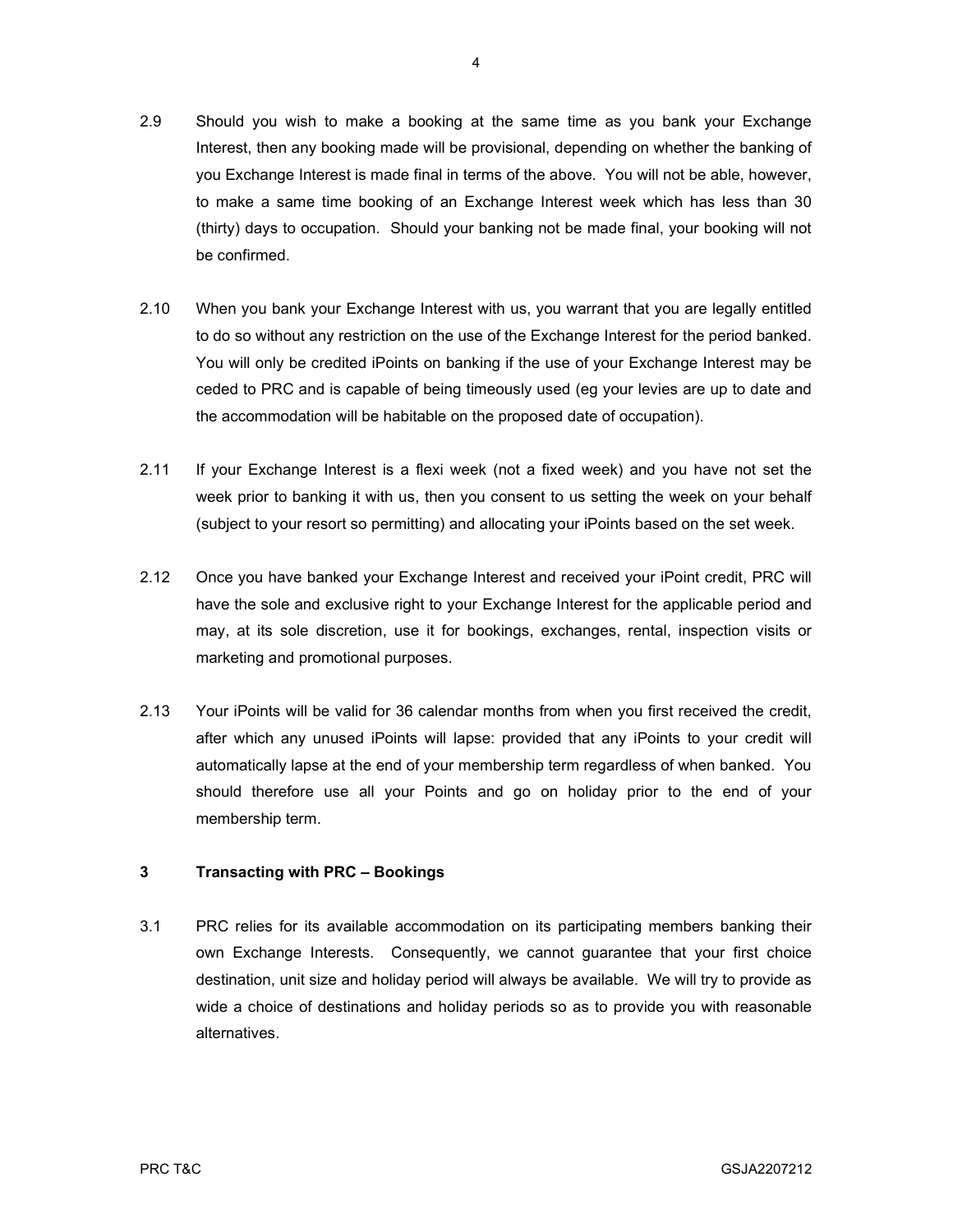- 2.9 Should you wish to make a booking at the same time as you bank your Exchange Interest, then any booking made will be provisional, depending on whether the banking of you Exchange Interest is made final in terms of the above. You will not be able, however, to make a same time booking of an Exchange Interest week which has less than 30 (thirty) days to occupation. Should your banking not be made final, your booking will not be confirmed.
- 2.10 When you bank your Exchange Interest with us, you warrant that you are legally entitled to do so without any restriction on the use of the Exchange Interest for the period banked. You will only be credited iPoints on banking if the use of your Exchange Interest may be ceded to PRC and is capable of being timeously used (eg your levies are up to date and the accommodation will be habitable on the proposed date of occupation).
- 2.11 If your Exchange Interest is a flexi week (not a fixed week) and you have not set the week prior to banking it with us, then you consent to us setting the week on your behalf (subject to your resort so permitting) and allocating your iPoints based on the set week.
- 2.12 Once you have banked your Exchange Interest and received your iPoint credit, PRC will have the sole and exclusive right to your Exchange Interest for the applicable period and may, at its sole discretion, use it for bookings, exchanges, rental, inspection visits or marketing and promotional purposes.
- 2.13 Your iPoints will be valid for 36 calendar months from when you first received the credit, after which any unused iPoints will lapse: provided that any iPoints to your credit will automatically lapse at the end of your membership term regardless of when banked. You should therefore use all your Points and go on holiday prior to the end of your membership term.

## 3 Transacting with PRC – Bookings

3.1 PRC relies for its available accommodation on its participating members banking their own Exchange Interests. Consequently, we cannot guarantee that your first choice destination, unit size and holiday period will always be available. We will try to provide as wide a choice of destinations and holiday periods so as to provide you with reasonable alternatives.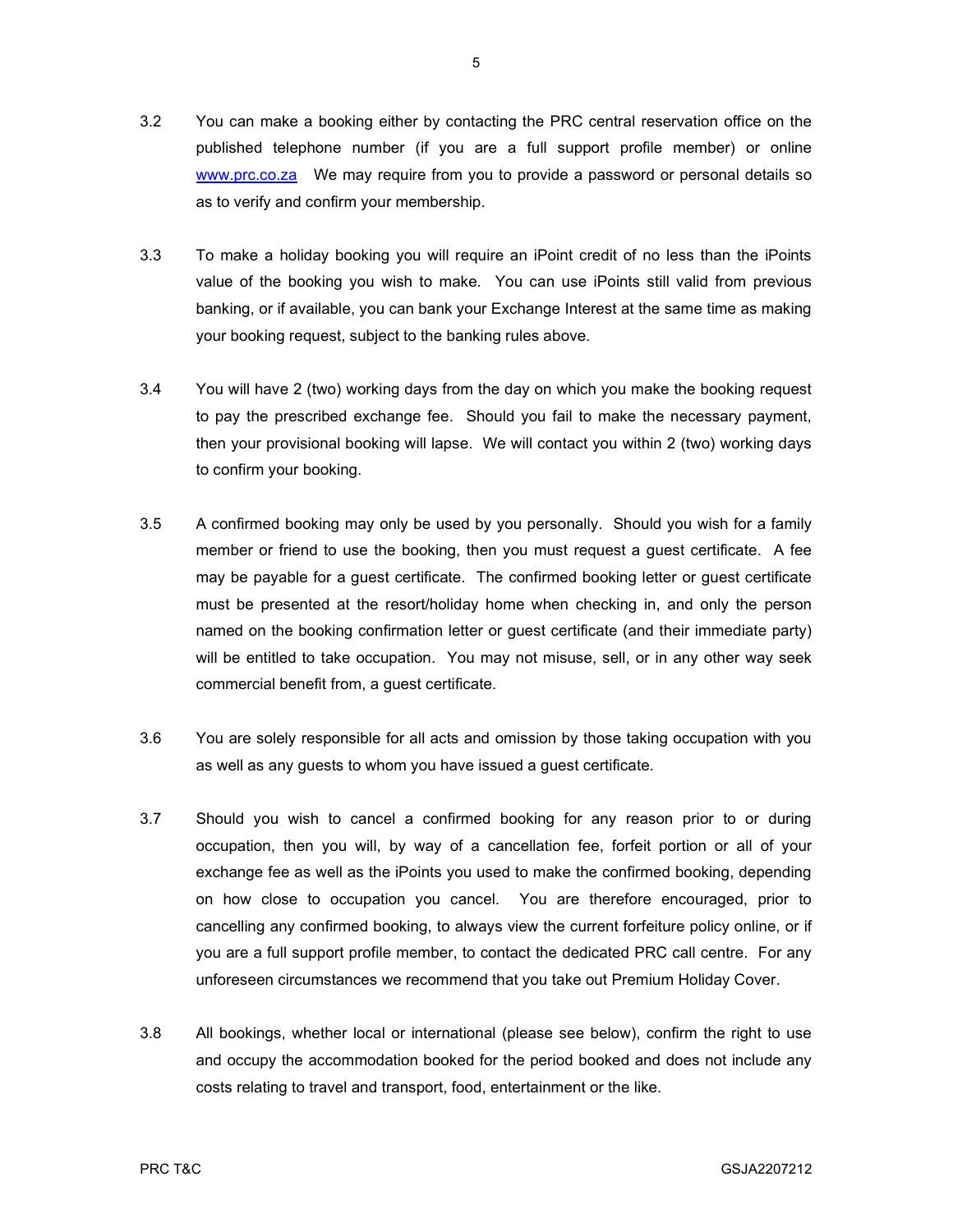- 3.2 You can make a booking either by contacting the PRC central reservation office on the published telephone number (if you are a full support profile member) or online www.prc.co.za We may require from you to provide a password or personal details so as to verify and confirm your membership.
- 3.3 To make a holiday booking you will require an iPoint credit of no less than the iPoints value of the booking you wish to make. You can use iPoints still valid from previous banking, or if available, you can bank your Exchange Interest at the same time as making your booking request, subject to the banking rules above.
- 3.4 You will have 2 (two) working days from the day on which you make the booking request to pay the prescribed exchange fee. Should you fail to make the necessary payment, then your provisional booking will lapse. We will contact you within 2 (two) working days to confirm your booking.
- 3.5 A confirmed booking may only be used by you personally. Should you wish for a family member or friend to use the booking, then you must request a guest certificate. A fee may be payable for a guest certificate. The confirmed booking letter or guest certificate must be presented at the resort/holiday home when checking in, and only the person named on the booking confirmation letter or guest certificate (and their immediate party) will be entitled to take occupation. You may not misuse, sell, or in any other way seek commercial benefit from, a guest certificate.
- 3.6 You are solely responsible for all acts and omission by those taking occupation with you as well as any guests to whom you have issued a guest certificate.
- 3.7 Should you wish to cancel a confirmed booking for any reason prior to or during occupation, then you will, by way of a cancellation fee, forfeit portion or all of your exchange fee as well as the iPoints you used to make the confirmed booking, depending on how close to occupation you cancel. You are therefore encouraged, prior to cancelling any confirmed booking, to always view the current forfeiture policy online, or if you are a full support profile member, to contact the dedicated PRC call centre. For any unforeseen circumstances we recommend that you take out Premium Holiday Cover.
- 3.8 All bookings, whether local or international (please see below), confirm the right to use and occupy the accommodation booked for the period booked and does not include any costs relating to travel and transport, food, entertainment or the like.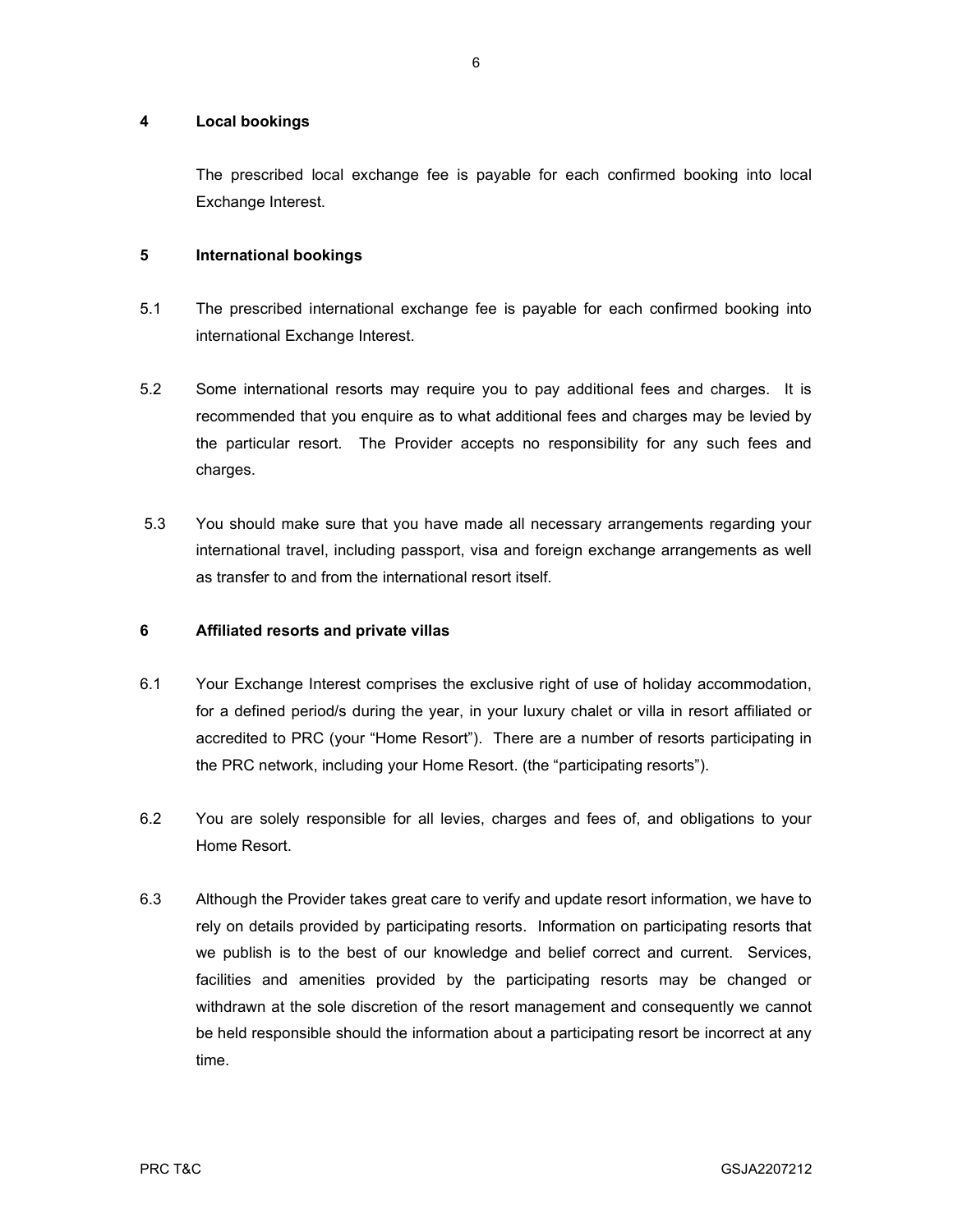#### 4 Local bookings

 The prescribed local exchange fee is payable for each confirmed booking into local Exchange Interest.

### 5 International bookings

- 5.1 The prescribed international exchange fee is payable for each confirmed booking into international Exchange Interest.
- 5.2 Some international resorts may require you to pay additional fees and charges. It is recommended that you enquire as to what additional fees and charges may be levied by the particular resort. The Provider accepts no responsibility for any such fees and charges.
- 5.3 You should make sure that you have made all necessary arrangements regarding your international travel, including passport, visa and foreign exchange arrangements as well as transfer to and from the international resort itself.

#### 6 Affiliated resorts and private villas

- 6.1 Your Exchange Interest comprises the exclusive right of use of holiday accommodation, for a defined period/s during the year, in your luxury chalet or villa in resort affiliated or accredited to PRC (your "Home Resort"). There are a number of resorts participating in the PRC network, including your Home Resort. (the "participating resorts").
- 6.2 You are solely responsible for all levies, charges and fees of, and obligations to your Home Resort.
- 6.3 Although the Provider takes great care to verify and update resort information, we have to rely on details provided by participating resorts. Information on participating resorts that we publish is to the best of our knowledge and belief correct and current. Services, facilities and amenities provided by the participating resorts may be changed or withdrawn at the sole discretion of the resort management and consequently we cannot be held responsible should the information about a participating resort be incorrect at any time.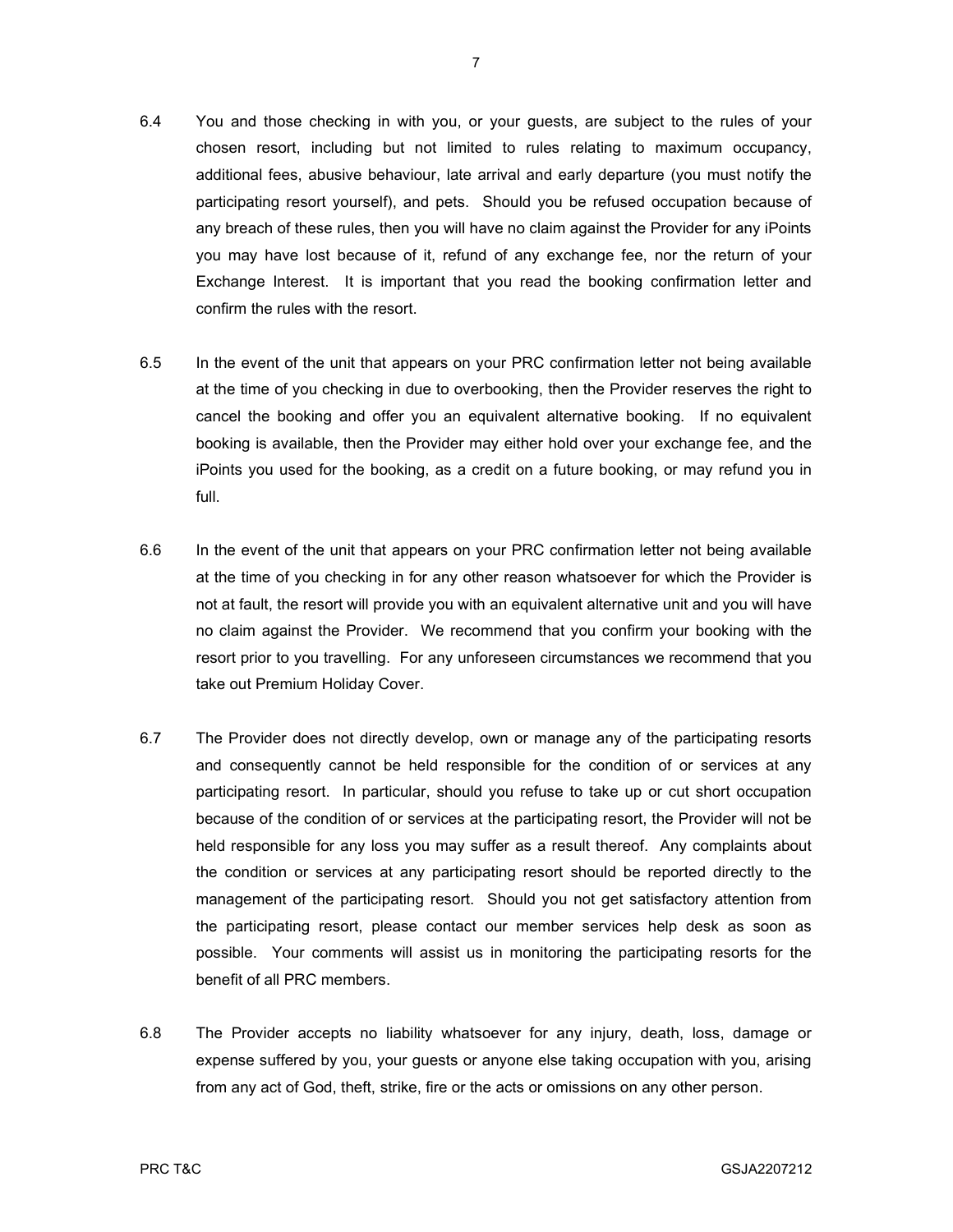- 6.4 You and those checking in with you, or your guests, are subject to the rules of your chosen resort, including but not limited to rules relating to maximum occupancy, additional fees, abusive behaviour, late arrival and early departure (you must notify the participating resort yourself), and pets. Should you be refused occupation because of any breach of these rules, then you will have no claim against the Provider for any iPoints you may have lost because of it, refund of any exchange fee, nor the return of your Exchange Interest. It is important that you read the booking confirmation letter and confirm the rules with the resort.
- 6.5 In the event of the unit that appears on your PRC confirmation letter not being available at the time of you checking in due to overbooking, then the Provider reserves the right to cancel the booking and offer you an equivalent alternative booking. If no equivalent booking is available, then the Provider may either hold over your exchange fee, and the iPoints you used for the booking, as a credit on a future booking, or may refund you in full.
- 6.6 In the event of the unit that appears on your PRC confirmation letter not being available at the time of you checking in for any other reason whatsoever for which the Provider is not at fault, the resort will provide you with an equivalent alternative unit and you will have no claim against the Provider. We recommend that you confirm your booking with the resort prior to you travelling. For any unforeseen circumstances we recommend that you take out Premium Holiday Cover.
- 6.7 The Provider does not directly develop, own or manage any of the participating resorts and consequently cannot be held responsible for the condition of or services at any participating resort. In particular, should you refuse to take up or cut short occupation because of the condition of or services at the participating resort, the Provider will not be held responsible for any loss you may suffer as a result thereof. Any complaints about the condition or services at any participating resort should be reported directly to the management of the participating resort. Should you not get satisfactory attention from the participating resort, please contact our member services help desk as soon as possible. Your comments will assist us in monitoring the participating resorts for the benefit of all PRC members.
- 6.8 The Provider accepts no liability whatsoever for any injury, death, loss, damage or expense suffered by you, your guests or anyone else taking occupation with you, arising from any act of God, theft, strike, fire or the acts or omissions on any other person.